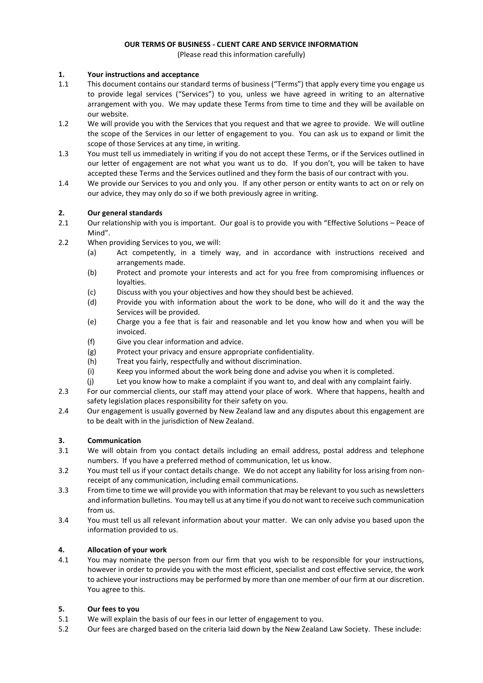# **OUR TERMS OF BUSINESS - CLIENT CARE AND SERVICE INFORMATION**

(Please read this information carefully)

## **1. Your instructions and acceptance**

- 1.1 This document contains our standard terms of business ("Terms") that apply every time you engage us to provide legal services ("Services") to you, unless we have agreed in writing to an alternative arrangement with you. We may update these Terms from time to time and they will be available on our website.
- 1.2 We will provide you with the Services that you request and that we agree to provide. We will outline the scope of the Services in our letter of engagement to you. You can ask us to expand or limit the scope of those Services at any time, in writing.
- 1.3 You must tell us immediately in writing if you do not accept these Terms, or if the Services outlined in our letter of engagement are not what you want us to do. If you don't, you will be taken to have accepted these Terms and the Services outlined and they form the basis of our contract with you.
- 1.4 We provide our Services to you and only you. If any other person or entity wants to act on or rely on our advice, they may only do so if we both previously agree in writing.

## **2. Our general standards**

- 2.1 Our relationship with you is important. Our goal is to provide you with "Effective Solutions Peace of Mind".
- 2.2 When providing Services to you, we will:
	- (a) Act competently, in a timely way, and in accordance with instructions received and arrangements made.
	- (b) Protect and promote your interests and act for you free from compromising influences or loyalties.
	- (c) Discuss with you your objectives and how they should best be achieved.
	- (d) Provide you with information about the work to be done, who will do it and the way the Services will be provided.
	- (e) Charge you a fee that is fair and reasonable and let you know how and when you will be invoiced.
	- (f) Give you clear information and advice.
	- (g) Protect your privacy and ensure appropriate confidentiality.
	- (h) Treat you fairly, respectfully and without discrimination.
	- (i) Keep you informed about the work being done and advise you when it is completed.
	- (j) Let you know how to make a complaint if you want to, and deal with any complaint fairly.
- 2.3 For our commercial clients, our staff may attend your place of work. Where that happens, health and safety legislation places responsibility for their safety on you.
- 2.4 Our engagement is usually governed by New Zealand law and any disputes about this engagement are to be dealt with in the jurisdiction of New Zealand.

#### **3. Communication**

- 3.1 We will obtain from you contact details including an email address, postal address and telephone numbers. If you have a preferred method of communication, let us know.
- 3.2 You must tell us if your contact details change. We do not accept any liability for loss arising from nonreceipt of any communication, including email communications.
- 3.3 From time to time we will provide you with information that may be relevant to you such as newsletters and information bulletins. You may tell us at any time if you do not want to receive such communication from us.
- 3.4 You must tell us all relevant information about your matter. We can only advise you based upon the information provided to us.

## **4. Allocation of your work**

4.1 You may nominate the person from our firm that you wish to be responsible for your instructions, however in order to provide you with the most efficient, specialist and cost effective service, the work to achieve your instructions may be performed by more than one member of our firm at our discretion. You agree to this.

#### **5. Our fees to you**

- 5.1 We will explain the basis of our fees in our letter of engagement to you.
- 5.2 Our fees are charged based on the criteria laid down by the New Zealand Law Society. These include: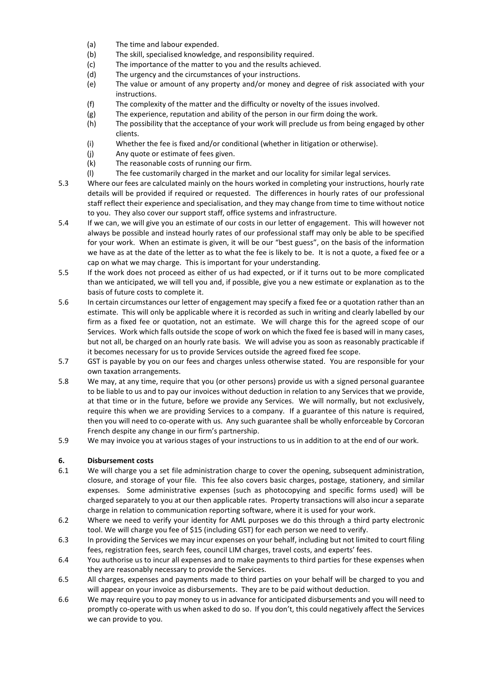- (a) The time and labour expended.
- (b) The skill, specialised knowledge, and responsibility required.
- (c) The importance of the matter to you and the results achieved.
- (d) The urgency and the circumstances of your instructions.
- (e) The value or amount of any property and/or money and degree of risk associated with your instructions.
- (f) The complexity of the matter and the difficulty or novelty of the issues involved.
- (g) The experience, reputation and ability of the person in our firm doing the work.
- (h) The possibility that the acceptance of your work will preclude us from being engaged by other clients.
- (i) Whether the fee is fixed and/or conditional (whether in litigation or otherwise).
- (j) Any quote or estimate of fees given.
- (k) The reasonable costs of running our firm.
- (l) The fee customarily charged in the market and our locality for similar legal services.
- 5.3 Where our fees are calculated mainly on the hours worked in completing your instructions, hourly rate details will be provided if required or requested. The differences in hourly rates of our professional staff reflect their experience and specialisation, and they may change from time to time without notice to you. They also cover our support staff, office systems and infrastructure.
- 5.4 If we can, we will give you an estimate of our costs in our letter of engagement. This will however not always be possible and instead hourly rates of our professional staff may only be able to be specified for your work. When an estimate is given, it will be our "best guess", on the basis of the information we have as at the date of the letter as to what the fee is likely to be. It is not a quote, a fixed fee or a cap on what we may charge. This is important for your understanding.
- 5.5 If the work does not proceed as either of us had expected, or if it turns out to be more complicated than we anticipated, we will tell you and, if possible, give you a new estimate or explanation as to the basis of future costs to complete it.
- 5.6 In certain circumstances our letter of engagement may specify a fixed fee or a quotation rather than an estimate. This will only be applicable where it is recorded as such in writing and clearly labelled by our firm as a fixed fee or quotation, not an estimate. We will charge this for the agreed scope of our Services. Work which falls outside the scope of work on which the fixed fee is based will in many cases, but not all, be charged on an hourly rate basis. We will advise you as soon as reasonably practicable if it becomes necessary for us to provide Services outside the agreed fixed fee scope.
- 5.7 GST is payable by you on our fees and charges unless otherwise stated. You are responsible for your own taxation arrangements.
- 5.8 We may, at any time, require that you (or other persons) provide us with a signed personal guarantee to be liable to us and to pay our invoices without deduction in relation to any Services that we provide, at that time or in the future, before we provide any Services. We will normally, but not exclusively, require this when we are providing Services to a company. If a guarantee of this nature is required, then you will need to co-operate with us. Any such guarantee shall be wholly enforceable by Corcoran French despite any change in our firm's partnership.
- 5.9 We may invoice you at various stages of your instructions to us in addition to at the end of our work.

## **6. Disbursement costs**

- 6.1 We will charge you a set file administration charge to cover the opening, subsequent administration, closure, and storage of your file. This fee also covers basic charges, postage, stationery, and similar expenses. Some administrative expenses (such as photocopying and specific forms used) will be charged separately to you at our then applicable rates. Property transactions will also incur a separate charge in relation to communication reporting software, where it is used for your work.
- 6.2 Where we need to verify your identity for AML purposes we do this through a third party electronic tool. We will charge you fee of \$15 (including GST) for each person we need to verify.
- 6.3 In providing the Services we may incur expenses on your behalf, including but not limited to court filing fees, registration fees, search fees, council LIM charges, travel costs, and experts' fees.
- 6.4 You authorise us to incur all expenses and to make payments to third parties for these expenses when they are reasonably necessary to provide the Services.
- 6.5 All charges, expenses and payments made to third parties on your behalf will be charged to you and will appear on your invoice as disbursements. They are to be paid without deduction.
- 6.6 We may require you to pay money to us in advance for anticipated disbursements and you will need to promptly co-operate with us when asked to do so. If you don't, this could negatively affect the Services we can provide to you.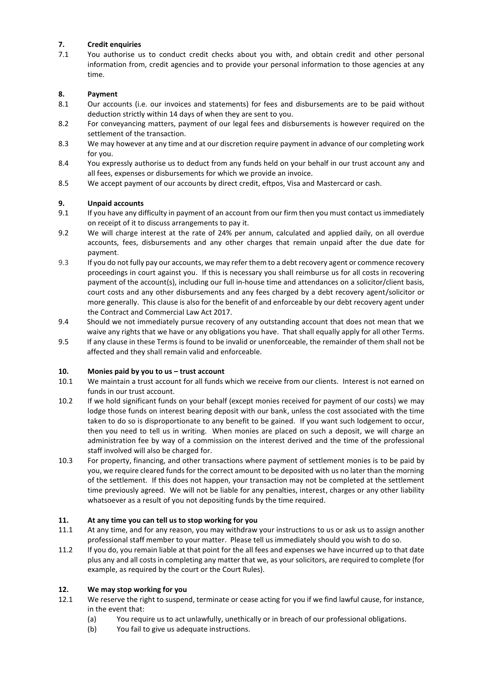# **7. Credit enquiries**

7.1 You authorise us to conduct credit checks about you with, and obtain credit and other personal information from, credit agencies and to provide your personal information to those agencies at any time.

# **8. Payment**

- 8.1 Our accounts (i.e. our invoices and statements) for fees and disbursements are to be paid without deduction strictly within 14 days of when they are sent to you.
- 8.2 For conveyancing matters, payment of our legal fees and disbursements is however required on the settlement of the transaction.
- 8.3 We may however at any time and at our discretion require payment in advance of our completing work for you.
- 8.4 You expressly authorise us to deduct from any funds held on your behalf in our trust account any and all fees, expenses or disbursements for which we provide an invoice.
- 8.5 We accept payment of our accounts by direct credit, eftpos, Visa and Mastercard or cash.

# **9. Unpaid accounts**

- 9.1 If you have any difficulty in payment of an account from our firm then you must contact us immediately on receipt of it to discuss arrangements to pay it.
- 9.2 We will charge interest at the rate of 24% per annum, calculated and applied daily, on all overdue accounts, fees, disbursements and any other charges that remain unpaid after the due date for payment.
- 9.3 If you do not fully pay our accounts, we may refer them to a debt recovery agent or commence recovery proceedings in court against you. If this is necessary you shall reimburse us for all costs in recovering payment of the account(s), including our full in-house time and attendances on a solicitor/client basis, court costs and any other disbursements and any fees charged by a debt recovery agent/solicitor or more generally. This clause is also for the benefit of and enforceable by our debt recovery agent under the Contract and Commercial Law Act 2017.
- 9.4 Should we not immediately pursue recovery of any outstanding account that does not mean that we waive any rights that we have or any obligations you have. That shall equally apply for all other Terms.
- 9.5 If any clause in these Terms is found to be invalid or unenforceable, the remainder of them shall not be affected and they shall remain valid and enforceable.

## **10. Monies paid by you to us – trust account**

- 10.1 We maintain a trust account for all funds which we receive from our clients. Interest is not earned on funds in our trust account.
- 10.2 If we hold significant funds on your behalf (except monies received for payment of our costs) we may lodge those funds on interest bearing deposit with our bank, unless the cost associated with the time taken to do so is disproportionate to any benefit to be gained. If you want such lodgement to occur, then you need to tell us in writing. When monies are placed on such a deposit, we will charge an administration fee by way of a commission on the interest derived and the time of the professional staff involved will also be charged for.
- 10.3 For property, financing, and other transactions where payment of settlement monies is to be paid by you, we require cleared funds for the correct amount to be deposited with us no later than the morning of the settlement. If this does not happen, your transaction may not be completed at the settlement time previously agreed. We will not be liable for any penalties, interest, charges or any other liability whatsoever as a result of you not depositing funds by the time required.

## **11. At any time you can tell us to stop working for you**

- 11.1 At any time, and for any reason, you may withdraw your instructions to us or ask us to assign another professional staff member to your matter. Please tell us immediately should you wish to do so.
- 11.2 If you do, you remain liable at that point for the all fees and expenses we have incurred up to that date plus any and all costs in completing any matter that we, as your solicitors, are required to complete (for example, as required by the court or the Court Rules).

## **12. We may stop working for you**

- 12.1 We reserve the right to suspend, terminate or cease acting for you if we find lawful cause, for instance, in the event that:
	- (a) You require us to act unlawfully, unethically or in breach of our professional obligations.
	- (b) You fail to give us adequate instructions.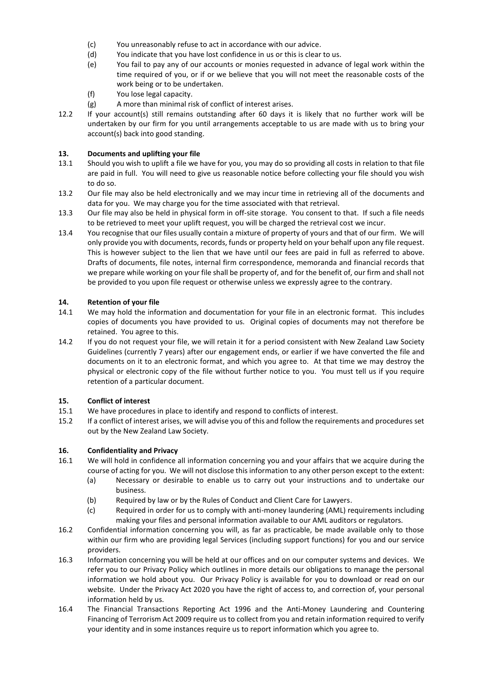- (c) You unreasonably refuse to act in accordance with our advice.
- (d) You indicate that you have lost confidence in us or this is clear to us.
- (e) You fail to pay any of our accounts or monies requested in advance of legal work within the time required of you, or if or we believe that you will not meet the reasonable costs of the work being or to be undertaken.
- (f) You lose legal capacity.
- (g) A more than minimal risk of conflict of interest arises.
- 12.2 If your account(s) still remains outstanding after 60 days it is likely that no further work will be undertaken by our firm for you until arrangements acceptable to us are made with us to bring your account(s) back into good standing.

# **13. Documents and uplifting your file**

- 13.1 Should you wish to uplift a file we have for you, you may do so providing all costs in relation to that file are paid in full. You will need to give us reasonable notice before collecting your file should you wish to do so.
- 13.2 Our file may also be held electronically and we may incur time in retrieving all of the documents and data for you. We may charge you for the time associated with that retrieval.
- 13.3 Our file may also be held in physical form in off-site storage. You consent to that. If such a file needs to be retrieved to meet your uplift request, you will be charged the retrieval cost we incur.
- 13.4 You recognise that our files usually contain a mixture of property of yours and that of our firm. We will only provide you with documents, records, funds or property held on your behalf upon any file request. This is however subject to the lien that we have until our fees are paid in full as referred to above. Drafts of documents, file notes, internal firm correspondence, memoranda and financial records that we prepare while working on your file shall be property of, and for the benefit of, our firm and shall not be provided to you upon file request or otherwise unless we expressly agree to the contrary.

## **14. Retention of your file**

- 14.1 We may hold the information and documentation for your file in an electronic format. This includes copies of documents you have provided to us. Original copies of documents may not therefore be retained. You agree to this.
- 14.2 If you do not request your file, we will retain it for a period consistent with New Zealand Law Society Guidelines (currently 7 years) after our engagement ends, or earlier if we have converted the file and documents on it to an electronic format, and which you agree to. At that time we may destroy the physical or electronic copy of the file without further notice to you. You must tell us if you require retention of a particular document.

## **15. Conflict of interest**

- 15.1 We have procedures in place to identify and respond to conflicts of interest.
- 15.2 If a conflict of interest arises, we will advise you of this and follow the requirements and procedures set out by the New Zealand Law Society.

## **16. Confidentiality and Privacy**

- 16.1 We will hold in confidence all information concerning you and your affairs that we acquire during the course of acting for you. We will not disclose this information to any other person except to the extent:
	- (a) Necessary or desirable to enable us to carry out your instructions and to undertake our business.
	- (b) Required by law or by the Rules of Conduct and Client Care for Lawyers.
	- (c) Required in order for us to comply with anti-money laundering (AML) requirements including making your files and personal information available to our AML auditors or regulators.
- 16.2 Confidential information concerning you will, as far as practicable, be made available only to those within our firm who are providing legal Services (including support functions) for you and our service providers.
- 16.3 Information concerning you will be held at our offices and on our computer systems and devices. We refer you to our Privacy Policy which outlines in more details our obligations to manage the personal information we hold about you. Our Privacy Policy is available for you to download or read on our website. Under the Privacy Act 2020 you have the right of access to, and correction of, your personal information held by us.
- 16.4 The Financial Transactions Reporting Act 1996 and the Anti-Money Laundering and Countering Financing of Terrorism Act 2009 require us to collect from you and retain information required to verify your identity and in some instances require us to report information which you agree to.